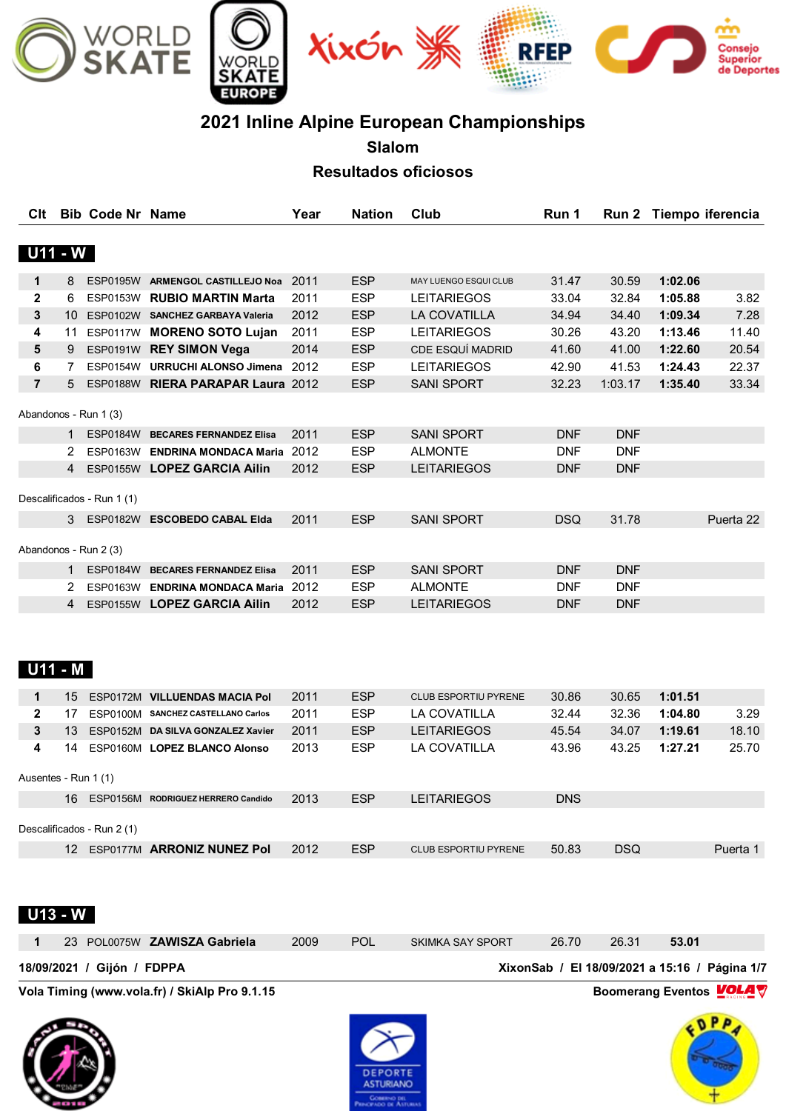

# **2021 Inline Alpine European Championships**

**Slalom**

**Resultados oficiosos**

|                |                | <b>Bib Code Nr Name</b>    |                                         | Year | <b>Nation</b> | Club                    | Run 1      |            | Run 2 Tiempo iferencia |           |
|----------------|----------------|----------------------------|-----------------------------------------|------|---------------|-------------------------|------------|------------|------------------------|-----------|
|                | <b>U11 - W</b> |                            |                                         |      |               |                         |            |            |                        |           |
| 1              |                |                            | 8 ESP0195W ARMENGOL CASTILLEJO Noa 2011 |      | <b>ESP</b>    | MAY LUENGO ESQUI CLUB   | 31.47      | 30.59      | 1:02.06                |           |
| $\mathbf{2}$   | 6              |                            | ESP0153W RUBIO MARTIN Marta             | 2011 | <b>ESP</b>    | LEITARIEGOS             | 33.04      | 32.84      | 1:05.88                | 3.82      |
| 3              |                |                            | 10 ESP0102W SANCHEZ GARBAYA Valeria     | 2012 | ESP           | LA COVATILLA            | 34.94      | 34.40      | 1:09.34                | 7.28      |
| 4              | 11             |                            | ESP0117W MORENO SOTO Lujan              | 2011 | <b>ESP</b>    | <b>LEITARIEGOS</b>      | 30.26      | 43.20      | 1:13.46                | 11.40     |
| 5              | 9              |                            | ESP0191W REY SIMON Vega                 | 2014 | <b>ESP</b>    | <b>CDE ESQUÍ MADRID</b> | 41.60      | 41.00      | 1:22.60                | 20.54     |
| 6              | $7^{\circ}$    |                            | ESP0154W URRUCHI ALONSO Jimena 2012     |      | <b>ESP</b>    | <b>LEITARIEGOS</b>      | 42.90      | 41.53      | 1:24.43                | 22.37     |
| $\overline{7}$ |                |                            | 5 ESP0188W RIERA PARAPAR Laura 2012     |      | <b>ESP</b>    | <b>SANI SPORT</b>       | 32.23      | 1:03.17    | 1:35.40                | 33.34     |
|                |                | Abandonos - Run 1 (3)      |                                         |      |               |                         |            |            |                        |           |
|                |                |                            | 1 ESP0184W BECARES FERNANDEZ Elisa      | 2011 | <b>ESP</b>    | <b>SANI SPORT</b>       | <b>DNF</b> | <b>DNF</b> |                        |           |
|                |                |                            | 2 ESP0163W ENDRINA MONDACA Maria 2012   |      | <b>ESP</b>    | <b>ALMONTE</b>          | <b>DNF</b> | <b>DNF</b> |                        |           |
|                |                |                            | 4 ESP0155W LOPEZ GARCIA Ailin           | 2012 | ESP           | <b>LEITARIEGOS</b>      | <b>DNF</b> | <b>DNF</b> |                        |           |
|                |                |                            |                                         |      |               |                         |            |            |                        |           |
|                |                | Descalificados - Run 1 (1) |                                         |      |               |                         |            |            |                        |           |
|                |                |                            | 3 ESP0182W ESCOBEDO CABAL Elda          | 2011 | <b>ESP</b>    | <b>SANI SPORT</b>       | <b>DSQ</b> | 31.78      |                        | Puerta 22 |
|                |                |                            |                                         |      |               |                         |            |            |                        |           |
|                |                | Abandonos - Run 2 (3)      |                                         |      |               |                         |            |            |                        |           |
|                |                |                            | 1 ESP0184W BECARES FERNANDEZ Elisa      | 2011 | <b>ESP</b>    | <b>SANI SPORT</b>       | <b>DNF</b> | <b>DNF</b> |                        |           |
|                |                |                            | 2 ESP0163W ENDRINA MONDACA Maria 2012   |      | <b>ESP</b>    | <b>ALMONTE</b>          | <b>DNF</b> | <b>DNF</b> |                        |           |
|                |                |                            | 4 ESP0155W LOPEZ GARCIA Ailin           | 2012 | <b>ESP</b>    | <b>LEITARIEGOS</b>      | <b>DNF</b> | <b>DNF</b> |                        |           |
|                | U11 - M        |                            |                                         |      |               |                         |            |            |                        |           |
|                |                |                            |                                         |      |               |                         |            |            |                        |           |
| $\mathbf 1$    |                |                            | 15 ESP0172M VILLUENDAS MACIA Pol        | 2011 | <b>ESP</b>    | CLUB ESPORTIU PYRENE    | 30.86      | 30.65      | 1:01.51                |           |
| $\mathbf{2}$   |                |                            | 17 ESP0100M SANCHEZ CASTELLANO Carlos   | 2011 | ESP           | LA COVATILLA            | 32.44      | 32.36      | 1:04.80                | 3.29      |
| 3              | 13             |                            | ESP0152M DA SILVA GONZALEZ Xavier       | 2011 | ESP           | <b>LEITARIEGOS</b>      | 45.54      | 34.07      | 1:19.61                | 18.10     |
| 4              |                |                            | 14 ESP0160M LOPEZ BLANCO Alonso         | 2013 | ESP           | LA COVATILLA            | 43.96      | 43.25      | 1:27.21                | 25.70     |
|                |                | Ausentes - Run 1 (1)       |                                         |      |               |                         |            |            |                        |           |
|                |                |                            | 16 ESP0156M RODRIGUEZ HERRERO Candido   | 2013 | <b>ESP</b>    | <b>LEITARIEGOS</b>      | <b>DNS</b> |            |                        |           |
|                |                | Descalificados - Run 2 (1) |                                         |      |               |                         |            |            |                        |           |
|                |                |                            | 12 ESP0177M ARRONIZ NUNEZ Pol           | 2012 | <b>ESP</b>    | CLUB ESPORTIU PYRENE    | 50.83      | <b>DSQ</b> |                        | Puerta 1  |
|                |                |                            |                                         |      |               |                         |            |            |                        |           |

| $U13 - W$<br>23 POL0075W ZAWISZA Gabriela     | 2009 | <b>POL</b> | <b>SKIMKA SAY SPORT</b> | 26.70 | 26.31 | 53.01                                         |
|-----------------------------------------------|------|------------|-------------------------|-------|-------|-----------------------------------------------|
| 18/09/2021 / Gijón / FDPPA                    |      |            |                         |       |       | XixonSab / El 18/09/2021 a 15:16 / Página 1/7 |
| Vola Timing (www.vola.fr) / SkiAlp Pro 9.1.15 |      |            |                         |       |       | <b>Boomerang Eventos VOLA</b>                 |





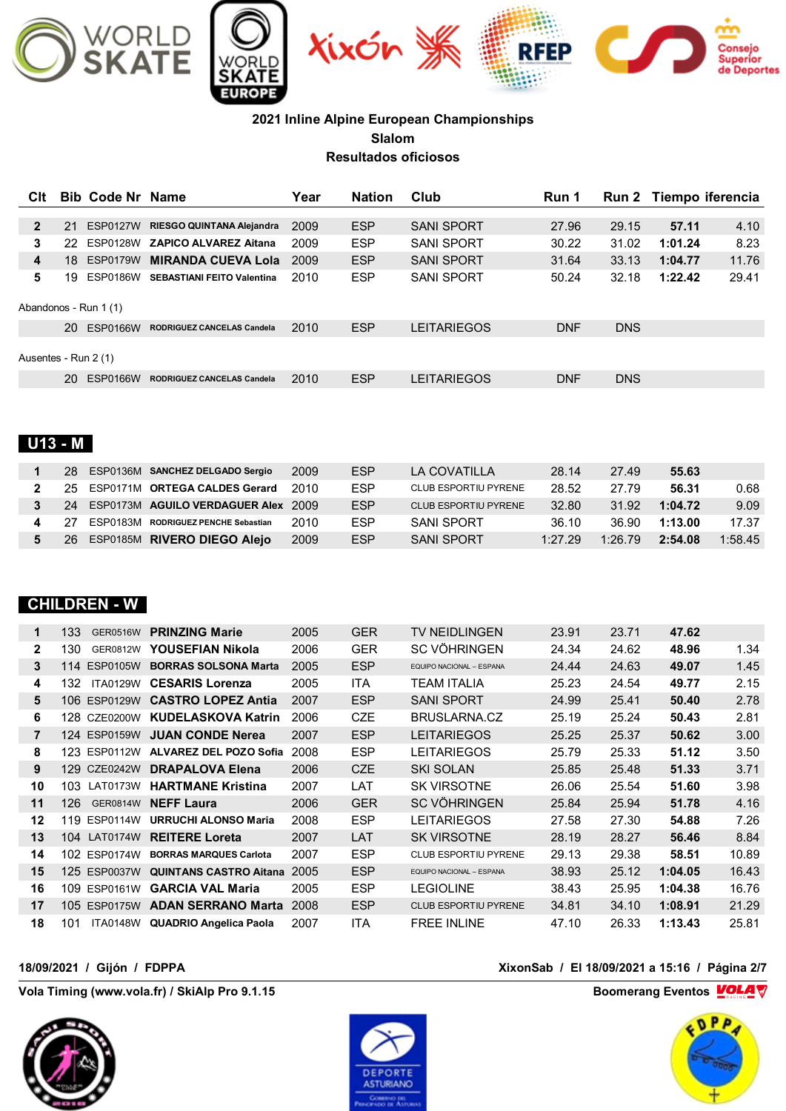

| Clt                  |    | <b>Bib Code Nr Name</b> |                                     | Year | <b>Nation</b> | Club                        | Run 1      | <b>Run 2</b> | Tiempo iferencia |         |
|----------------------|----|-------------------------|-------------------------------------|------|---------------|-----------------------------|------------|--------------|------------------|---------|
| $\mathbf{2}$         | 21 | <b>ESP0127W</b>         | RIESGO QUINTANA Alejandra           | 2009 | <b>ESP</b>    | <b>SANI SPORT</b>           | 27.96      | 29.15        | 57.11            | 4.10    |
| 3                    | 22 | <b>ESP0128W</b>         | <b>ZAPICO ALVAREZ Aitana</b>        | 2009 | <b>ESP</b>    | <b>SANI SPORT</b>           | 30.22      | 31.02        | 1:01.24          | 8.23    |
| 4                    | 18 | <b>ESP0179W</b>         | <b>MIRANDA CUEVA Lola</b>           | 2009 | <b>ESP</b>    | <b>SANI SPORT</b>           | 31.64      | 33.13        | 1:04.77          | 11.76   |
| 5                    | 19 |                         | ESP0186W SEBASTIANI FEITO Valentina | 2010 | <b>ESP</b>    | <b>SANI SPORT</b>           | 50.24      | 32.18        | 1:22.42          | 29.41   |
|                      |    | Abandonos - Run 1 (1)   |                                     |      |               |                             |            |              |                  |         |
|                      |    | 20 ESP0166W             | RODRIGUEZ CANCELAS Candela          | 2010 | <b>ESP</b>    | <b>LEITARIEGOS</b>          | <b>DNF</b> | <b>DNS</b>   |                  |         |
| Ausentes - Run 2 (1) |    |                         |                                     |      |               |                             |            |              |                  |         |
|                      |    | 20 ESP0166W             | <b>RODRIGUEZ CANCELAS Candela</b>   | 2010 | <b>ESP</b>    | <b>LEITARIEGOS</b>          | <b>DNF</b> | <b>DNS</b>   |                  |         |
| <b>U13 - M</b>       |    |                         |                                     |      |               |                             |            |              |                  |         |
| 1                    | 28 |                         | ESP0136M SANCHEZ DELGADO Sergio     | 2009 | <b>ESP</b>    | <b>LA COVATILLA</b>         | 28.14      | 27.49        | 55.63            |         |
| $\mathbf{2}$         | 25 | <b>ESP0171M</b>         | <b>ORTEGA CALDES Gerard</b>         | 2010 | <b>ESP</b>    | CLUB ESPORTIU PYRENE        | 28.52      | 27.79        | 56.31            | 0.68    |
| 3                    | 24 |                         | ESP0173M AGUILO VERDAGUER Alex 2009 |      | <b>ESP</b>    | <b>CLUB ESPORTIU PYRENE</b> | 32.80      | 31.92        | 1:04.72          | 9.09    |
| 4                    | 27 | <b>ESP0183M</b>         | <b>RODRIGUEZ PENCHE Sebastian</b>   | 2010 | <b>ESP</b>    | <b>SANI SPORT</b>           | 36.10      | 36.90        | 1:13.00          | 17.37   |
| 5                    | 26 |                         | ESP0185M RIVERO DIEGO Alejo         | 2009 | <b>ESP</b>    | <b>SANI SPORT</b>           | 1:27.29    | 1:26.79      | 2:54.08          | 1:58.45 |
|                      |    | <b>CHILDREN - W</b>     |                                     |      |               |                             |            |              |                  |         |
|                      |    |                         | 122 CEDOF16W <b>DDINTING Mexic</b>  | 200E | $\cap$        | TV NIEIDI INCENI            | 22.01      | 2274         | 17C2             |         |

| 1              | 133<br><b>GER0516W</b>  | <b>PRINZING Marie</b>         | 2005 | <b>GER</b> | <b>TV NEIDLINGEN</b>        | 23.91 | 23.71 | 47.62   |       |
|----------------|-------------------------|-------------------------------|------|------------|-----------------------------|-------|-------|---------|-------|
| $\mathbf{2}$   | 130<br>GER0812W         | YOUSEFIAN Nikola              | 2006 | <b>GER</b> | SC VÖHRINGEN                | 24.34 | 24.62 | 48.96   | 1.34  |
| 3              | 114 ESP0105W            | <b>BORRAS SOLSONA Marta</b>   | 2005 | <b>ESP</b> | EQUIPO NACIONAL - ESPANA    | 24.44 | 24.63 | 49.07   | 1.45  |
| 4              | <b>ITA0129W</b><br>132  | <b>CESARIS Lorenza</b>        | 2005 | <b>ITA</b> | TEAM ITALIA                 | 25.23 | 24.54 | 49.77   | 2.15  |
| 5              | 106 ESP0129W            | <b>CASTRO LOPEZ Antia</b>     | 2007 | <b>ESP</b> | <b>SANI SPORT</b>           | 24.99 | 25.41 | 50.40   | 2.78  |
| 6              | 128 CZE0200W            | <b>KUDELASKOVA Katrin</b>     | 2006 | <b>CZE</b> | BRUSLARNA.CZ                | 25.19 | 25.24 | 50.43   | 2.81  |
| $\overline{7}$ | 124 ESP0159W            | <b>JUAN CONDE Nerea</b>       | 2007 | <b>ESP</b> | <b>LEITARIEGOS</b>          | 25.25 | 25.37 | 50.62   | 3.00  |
| 8              | 123 ESP0112W            | <b>ALVAREZ DEL POZO Sofia</b> | 2008 | <b>ESP</b> | LEITARIEGOS                 | 25.79 | 25.33 | 51.12   | 3.50  |
| 9              | 129 CZE0242W            | <b>DRAPALOVA Elena</b>        | 2006 | <b>CZE</b> | <b>SKI SOLAN</b>            | 25.85 | 25.48 | 51.33   | 3.71  |
| 10             | <b>LAT0173W</b><br>103. | <b>HARTMANE Kristina</b>      | 2007 | LAT        | <b>SK VIRSOTNE</b>          | 26.06 | 25.54 | 51.60   | 3.98  |
| 11             | 126<br><b>GER0814W</b>  | <b>NEFF Laura</b>             | 2006 | <b>GER</b> | <b>SC VÖHRINGEN</b>         | 25.84 | 25.94 | 51.78   | 4.16  |
| 12             | 119 ESP0114W            | <b>URRUCHI ALONSO Maria</b>   | 2008 | <b>ESP</b> | LEITARIEGOS                 | 27.58 | 27.30 | 54.88   | 7.26  |
| 13             | 104 LAT0174W            | <b>REITERE Loreta</b>         | 2007 | LAT        | <b>SK VIRSOTNE</b>          | 28.19 | 28.27 | 56.46   | 8.84  |
| 14             | 102 ESP0174W            | <b>BORRAS MARQUES Carlota</b> | 2007 | <b>ESP</b> | <b>CLUB ESPORTIU PYRENE</b> | 29.13 | 29.38 | 58.51   | 10.89 |
| 15             | 125 ESP0037W            | <b>QUINTANS CASTRO Aitana</b> | 2005 | <b>ESP</b> | EQUIPO NACIONAL - ESPANA    | 38.93 | 25.12 | 1:04.05 | 16.43 |
| 16             | 109 ESP0161W            | <b>GARCIA VAL Maria</b>       | 2005 | <b>ESP</b> | LEGIOLINE                   | 38.43 | 25.95 | 1:04.38 | 16.76 |
| 17             | 105 ESP0175W            | <b>ADAN SERRANO Marta</b>     | 2008 | <b>ESP</b> | <b>CLUB ESPORTIU PYRENE</b> | 34.81 | 34.10 | 1:08.91 | 21.29 |
| 18             | 101<br>ITA0148W         | <b>QUADRIO Angelica Paola</b> | 2007 | <b>ITA</b> | <b>FREE INLINE</b>          | 47.10 | 26.33 | 1:13.43 | 25.81 |

**Vola Timing (www.vola.fr) / SkiAlp Pro 9.1.15 Boomerang Eventos VOLA** 





#### **18/09/2021 / Gijón / FDPPA XixonSab / El 18/09/2021 a 15:16 / Página 2/7**

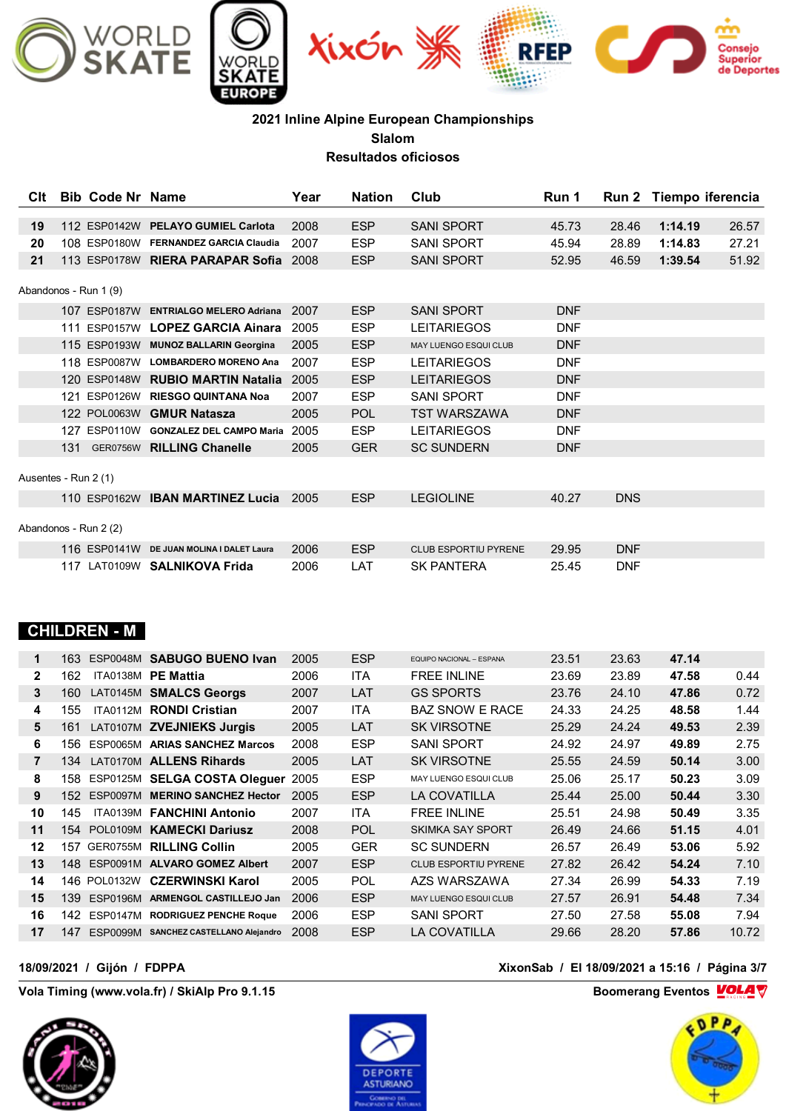

| <b>C</b> It | <b>Bib Code Nr Name</b> |                                       | Year | Nation     | Club                         | Run 1      |            | Run 2 Tiempo iferencia |       |
|-------------|-------------------------|---------------------------------------|------|------------|------------------------------|------------|------------|------------------------|-------|
|             |                         |                                       |      |            |                              |            |            |                        |       |
| 19          |                         | 112 ESP0142W PELAYO GUMIEL Carlota    | 2008 | <b>ESP</b> | <b>SANI SPORT</b>            | 45.73      | 28.46      | 1:14.19                | 26.57 |
| 20          |                         | 108 ESP0180W FERNANDEZ GARCIA Claudia | 2007 | <b>ESP</b> | <b>SANI SPORT</b>            | 45.94      | 28.89      | 1:14.83                | 27.21 |
| 21          |                         | 113 ESP0178W RIERA PARAPAR Sofia      | 2008 | <b>ESP</b> | <b>SANI SPORT</b>            | 52.95      | 46.59      | 1:39.54                | 51.92 |
|             | Abandonos - Run 1 (9)   |                                       |      |            |                              |            |            |                        |       |
|             |                         | 107 ESP0187W ENTRIALGO MELERO Adriana | 2007 | <b>ESP</b> | <b>SANI SPORT</b>            | <b>DNF</b> |            |                        |       |
|             |                         | 111 ESP0157W LOPEZ GARCIA Ainara      | 2005 | <b>ESP</b> | <b>LEITARIEGOS</b>           | <b>DNF</b> |            |                        |       |
|             |                         | 115 ESP0193W MUNOZ BALLARIN Georgina  | 2005 | <b>ESP</b> | <b>MAY LUENGO ESQUI CLUB</b> | <b>DNF</b> |            |                        |       |
|             |                         | 118 ESP0087W LOMBARDERO MORENO Ana    | 2007 | <b>ESP</b> | <b>LEITARIEGOS</b>           | <b>DNF</b> |            |                        |       |
|             |                         | 120 ESP0148W RUBIO MARTIN Natalia     | 2005 | <b>ESP</b> | <b>LEITARIEGOS</b>           | <b>DNF</b> |            |                        |       |
|             | 121 ESP0126W            | <b>RIESGO QUINTANA Noa</b>            | 2007 | <b>ESP</b> | <b>SANI SPORT</b>            | <b>DNF</b> |            |                        |       |
|             |                         | 122 POL0063W GMUR Natasza             | 2005 | <b>POL</b> | <b>TST WARSZAWA</b>          | <b>DNF</b> |            |                        |       |
|             | 127 ESP0110W            | <b>GONZALEZ DEL CAMPO Maria</b>       | 2005 | <b>ESP</b> | <b>LEITARIEGOS</b>           | <b>DNF</b> |            |                        |       |
|             |                         | 131 GER0756W RILLING Chanelle         | 2005 | <b>GER</b> | <b>SC SUNDERN</b>            | <b>DNF</b> |            |                        |       |
|             | Ausentes - Run 2 (1)    |                                       |      |            |                              |            |            |                        |       |
|             |                         | 110 ESP0162W IBAN MARTINEZ Lucia      | 2005 | <b>ESP</b> | <b>LEGIOLINE</b>             | 40.27      | <b>DNS</b> |                        |       |
|             | Abandonos - Run 2 (2)   |                                       |      |            |                              |            |            |                        |       |
|             | 116 ESP0141W            | DE JUAN MOLINA I DALET Laura          | 2006 | <b>ESP</b> | <b>CLUB ESPORTIU PYRENE</b>  | 29.95      | <b>DNF</b> |                        |       |
|             |                         | 117 LAT0109W SALNIKOVA Frida          | 2006 | LAT        | <b>SK PANTERA</b>            | 25.45      | <b>DNF</b> |                        |       |

# **CHILDREN - M**

| 1              | 163  | ESP0048M        | <b>SABUGO BUENO Ivan</b>       | 2005 | <b>ESP</b> | EQUIPO NACIONAL - ESPANA     | 23.51 | 23.63 | 47.14 |       |
|----------------|------|-----------------|--------------------------------|------|------------|------------------------------|-------|-------|-------|-------|
| $\mathbf{2}$   | 162  | <b>ITA0138M</b> | <b>PE Mattia</b>               | 2006 | ITA        | <b>FREE INLINE</b>           | 23.69 | 23.89 | 47.58 | 0.44  |
| 3              | 160  | LAT0145M        | <b>SMALCS Georgs</b>           | 2007 | LAT        | <b>GS SPORTS</b>             | 23.76 | 24.10 | 47.86 | 0.72  |
| 4              | 155  | <b>ITA0112M</b> | <b>RONDI Cristian</b>          | 2007 | <b>ITA</b> | <b>BAZ SNOW E RACE</b>       | 24.33 | 24.25 | 48.58 | 1.44  |
| 5              | 161  |                 | LAT0107M ZVEJNIEKS Jurgis      | 2005 | LAT        | <b>SK VIRSOTNE</b>           | 25.29 | 24.24 | 49.53 | 2.39  |
| 6              | 156  | ESP0065M        | <b>ARIAS SANCHEZ Marcos</b>    | 2008 | <b>ESP</b> | <b>SANI SPORT</b>            | 24.92 | 24.97 | 49.89 | 2.75  |
| $\overline{7}$ | 134  | <b>LAT0170M</b> | <b>ALLENS Rihards</b>          | 2005 | LAT        | <b>SK VIRSOTNE</b>           | 25.55 | 24.59 | 50.14 | 3.00  |
| 8              | 158  |                 | ESP0125M SELGA COSTA Olequer   | 2005 | <b>ESP</b> | MAY LUENGO ESQUI CLUB        | 25.06 | 25.17 | 50.23 | 3.09  |
| 9              | 152  | <b>ESP0097M</b> | <b>MERINO SANCHEZ Hector</b>   | 2005 | <b>ESP</b> | LA COVATILLA                 | 25.44 | 25.00 | 50.44 | 3.30  |
| 10             | 145  | ITA0139M        | <b>FANCHINI Antonio</b>        | 2007 | <b>ITA</b> | <b>FREE INLINE</b>           | 25.51 | 24.98 | 50.49 | 3.35  |
| 11             |      | 154 POL0109M    | <b>KAMECKI Dariusz</b>         | 2008 | <b>POL</b> | <b>SKIMKA SAY SPORT</b>      | 26.49 | 24.66 | 51.15 | 4.01  |
| 12             | 157  | GER0755M        | <b>RILLING Collin</b>          | 2005 | <b>GER</b> | <b>SC SUNDERN</b>            | 26.57 | 26.49 | 53.06 | 5.92  |
| 13             | 148  | ESP0091M        | <b>ALVARO GOMEZ Albert</b>     | 2007 | <b>ESP</b> | <b>CLUB ESPORTIU PYRENE</b>  | 27.82 | 26.42 | 54.24 | 7.10  |
| 14             | 146. | POL0132W        | <b>CZERWINSKI Karol</b>        | 2005 | <b>POL</b> | AZS WARSZAWA                 | 27.34 | 26.99 | 54.33 | 7.19  |
| 15             | 139  | ESP0196M        | <b>ARMENGOL CASTILLEJO Jan</b> | 2006 | <b>ESP</b> | <b>MAY LUENGO ESQUI CLUB</b> | 27.57 | 26.91 | 54.48 | 7.34  |
| 16             | 142  | ESP0147M        | <b>RODRIGUEZ PENCHE Roque</b>  | 2006 | <b>ESP</b> | <b>SANI SPORT</b>            | 27.50 | 27.58 | 55.08 | 7.94  |
| 17             | 147  | ESP0099M        | SANCHEZ CASTELLANO Alejandro   | 2008 | <b>ESP</b> | <b>LA COVATILLA</b>          | 29.66 | 28.20 | 57.86 | 10.72 |
|                |      |                 |                                |      |            |                              |       |       |       |       |

**Vola Timing (www.vola.fr) / SkiAlp Pro 9.1.15 Boomerang Eventos VOLA** 





#### **18/09/2021 / Gijón / FDPPA XixonSab / El 18/09/2021 a 15:16 / Página 3/7**

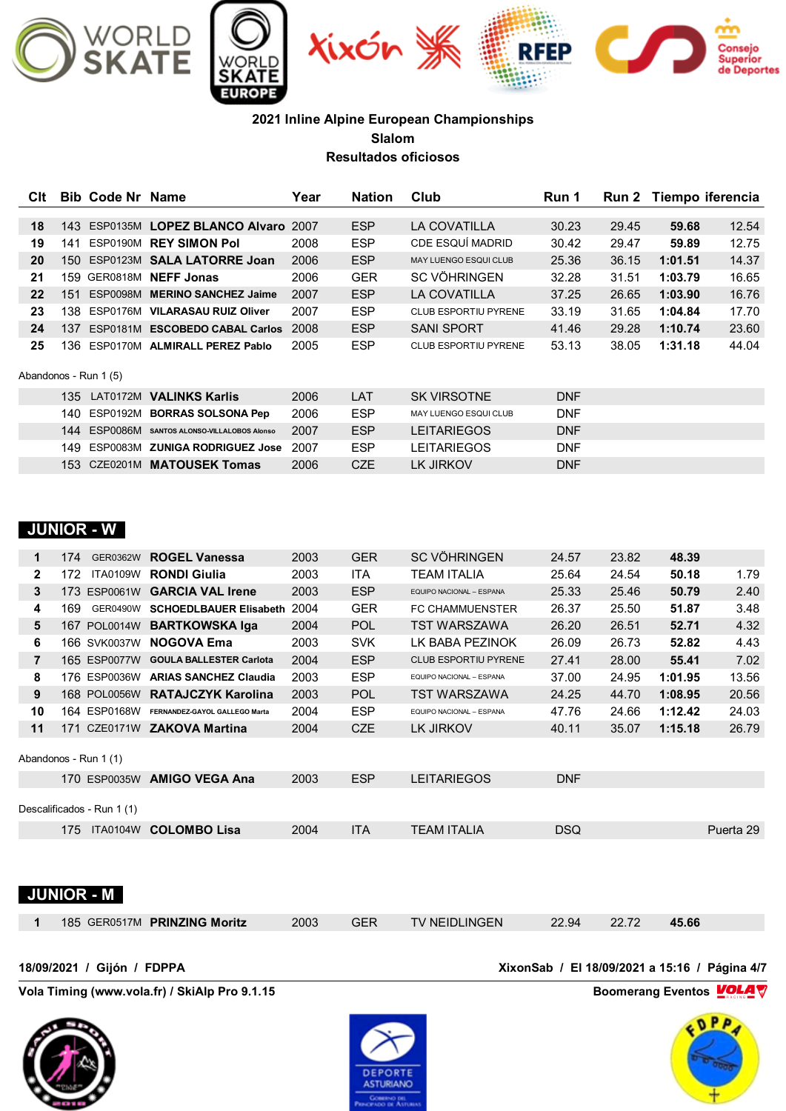

| Clt |      | <b>Bib Code Nr Name</b> |                                  | Year | <b>Nation</b> | Club                         | Run 1      |       | Run 2 Tiempo iferencia |       |
|-----|------|-------------------------|----------------------------------|------|---------------|------------------------------|------------|-------|------------------------|-------|
|     |      |                         |                                  |      |               |                              |            |       |                        |       |
| 18  |      |                         | 143 ESP0135M LOPEZ BLANCO Alvaro | 2007 | <b>ESP</b>    | LA COVATILLA                 | 30.23      | 29.45 | 59.68                  | 12.54 |
| 19  | 141  | ESP0190M                | <b>REY SIMON Pol</b>             | 2008 | <b>ESP</b>    | CDE ESQUÍ MADRID             | 30.42      | 29.47 | 59.89                  | 12.75 |
| 20  | 150  |                         | ESP0123M SALA LATORRE Joan       | 2006 | <b>ESP</b>    | MAY LUENGO ESQUI CLUB        | 25.36      | 36.15 | 1:01.51                | 14.37 |
| 21  |      |                         | 159 GER0818M NEFF Jonas          | 2006 | <b>GER</b>    | <b>SC VÖHRINGEN</b>          | 32.28      | 31.51 | 1:03.79                | 16.65 |
| 22  | 151  | <b>ESP0098M</b>         | <b>MERINO SANCHEZ Jaime</b>      | 2007 | <b>ESP</b>    | LA COVATILLA                 | 37.25      | 26.65 | 1:03.90                | 16.76 |
| 23  | 138. | ESP0176M                | <b>VILARASAU RUIZ Oliver</b>     | 2007 | <b>ESP</b>    | <b>CLUB ESPORTIU PYRENE</b>  | 33.19      | 31.65 | 1:04.84                | 17.70 |
| 24  | 137  | ESP0181M                | <b>ESCOBEDO CABAL Carlos</b>     | 2008 | <b>ESP</b>    | <b>SANI SPORT</b>            | 41.46      | 29.28 | 1:10.74                | 23.60 |
| 25  | 136  |                         | ESP0170M ALMIRALL PEREZ Pablo    | 2005 | <b>ESP</b>    | <b>CLUB ESPORTIU PYRENE</b>  | 53.13      | 38.05 | 1:31.18                | 44.04 |
|     |      | Abandonos - Run 1 (5)   |                                  |      |               |                              |            |       |                        |       |
|     | 135  |                         | LAT0172M VALINKS Karlis          | 2006 | LAT           | <b>SK VIRSOTNE</b>           | <b>DNF</b> |       |                        |       |
|     | 140. | ESP0192M                | <b>BORRAS SOLSONA Pep</b>        | 2006 | <b>ESP</b>    | <b>MAY LUENGO ESQUI CLUB</b> | <b>DNF</b> |       |                        |       |
|     | 144  | <b>ESP0086M</b>         | SANTOS ALONSO-VILLALOBOS Alonso  | 2007 | <b>ESP</b>    | <b>LEITARIEGOS</b>           | <b>DNF</b> |       |                        |       |
|     | 149. | ESP0083M                | <b>ZUNIGA RODRIGUEZ Jose</b>     | 2007 | <b>ESP</b>    | <b>LEITARIEGOS</b>           | <b>DNF</b> |       |                        |       |
|     |      |                         | 153 CZE0201M MATOUSEK Tomas      | 2006 | <b>CZE</b>    | LK JIRKOV                    | <b>DNF</b> |       |                        |       |

### **JUNIOR - W**

| 1              | 174  | GER0362W                   | <b>ROGEL Vanessa</b>           | 2003 | <b>GER</b> | <b>SC VÖHRINGEN</b>         | 24.57      | 23.82 | 48.39   |           |
|----------------|------|----------------------------|--------------------------------|------|------------|-----------------------------|------------|-------|---------|-----------|
| $\mathbf{2}$   | 172. | <b>ITA0109W</b>            | <b>RONDI Giulia</b>            | 2003 | ITA        | <b>TEAM ITALIA</b>          | 25.64      | 24.54 | 50.18   | 1.79      |
| 3              |      | 173 ESP0061W               | <b>GARCIA VAL Irene</b>        | 2003 | <b>ESP</b> | EQUIPO NACIONAL - ESPANA    | 25.33      | 25.46 | 50.79   | 2.40      |
| 4              | 169  | <b>GER0490W</b>            | <b>SCHOEDLBAUER Elisabeth</b>  | 2004 | <b>GER</b> | <b>FC CHAMMUENSTER</b>      | 26.37      | 25.50 | 51.87   | 3.48      |
| 5              |      | 167 POL0014W               | <b>BARTKOWSKA Iga</b>          | 2004 | <b>POL</b> | <b>TST WARSZAWA</b>         | 26.20      | 26.51 | 52.71   | 4.32      |
| 6              |      | 166 SVK0037W               | <b>NOGOVA Ema</b>              | 2003 | <b>SVK</b> | LK BABA PEZINOK             | 26.09      | 26.73 | 52.82   | 4.43      |
| $\overline{7}$ |      | 165 ESP0077W               | <b>GOULA BALLESTER Carlota</b> | 2004 | <b>ESP</b> | <b>CLUB ESPORTIU PYRENE</b> | 27.41      | 28.00 | 55.41   | 7.02      |
| 8              |      | 176 ESP0036W               | <b>ARIAS SANCHEZ Claudia</b>   | 2003 | <b>ESP</b> | EQUIPO NACIONAL - ESPANA    | 37.00      | 24.95 | 1:01.95 | 13.56     |
| 9              |      | 168 POL0056W               | <b>RATAJCZYK Karolina</b>      | 2003 | <b>POL</b> | <b>TST WARSZAWA</b>         | 24.25      | 44.70 | 1:08.95 | 20.56     |
| 10             |      | 164 ESP0168W               | FERNANDEZ-GAYOL GALLEGO Marta  | 2004 | <b>ESP</b> | EQUIPO NACIONAL - ESPANA    | 47.76      | 24.66 | 1:12.42 | 24.03     |
| 11             |      |                            | 171 CZE0171W ZAKOVA Martina    | 2004 | <b>CZE</b> | LK JIRKOV                   | 40.11      | 35.07 | 1:15.18 | 26.79     |
|                |      | Abandonos - Run 1 (1)      |                                |      |            |                             |            |       |         |           |
|                |      | 170 ESP0035W               | <b>AMIGO VEGA Ana</b>          | 2003 | <b>ESP</b> | <b>LEITARIEGOS</b>          | <b>DNF</b> |       |         |           |
|                |      | Descalificados - Run 1 (1) |                                |      |            |                             |            |       |         |           |
|                | 175  | <b>ITA0104W</b>            | <b>COLOMBO Lisa</b>            | 2004 | <b>ITA</b> | <b>TEAM ITALIA</b>          | <b>DSQ</b> |       |         | Puerta 29 |
|                |      | <b>JUNIOR - M</b>          |                                |      |            |                             |            |       |         |           |

185 GER0517M **PRINZING Moritz** 2003 GER TV NEIDLINGEN 22.94 22.72 **45.66**

**18/09/2021 / Gijón / FDPPA XixonSab / El 18/09/2021 a 15:16 / Página 4/7**

**Vola Timing (www.vola.fr) / SkiAlp Pro 9.1.15 Boomerang Eventos VOLA** 





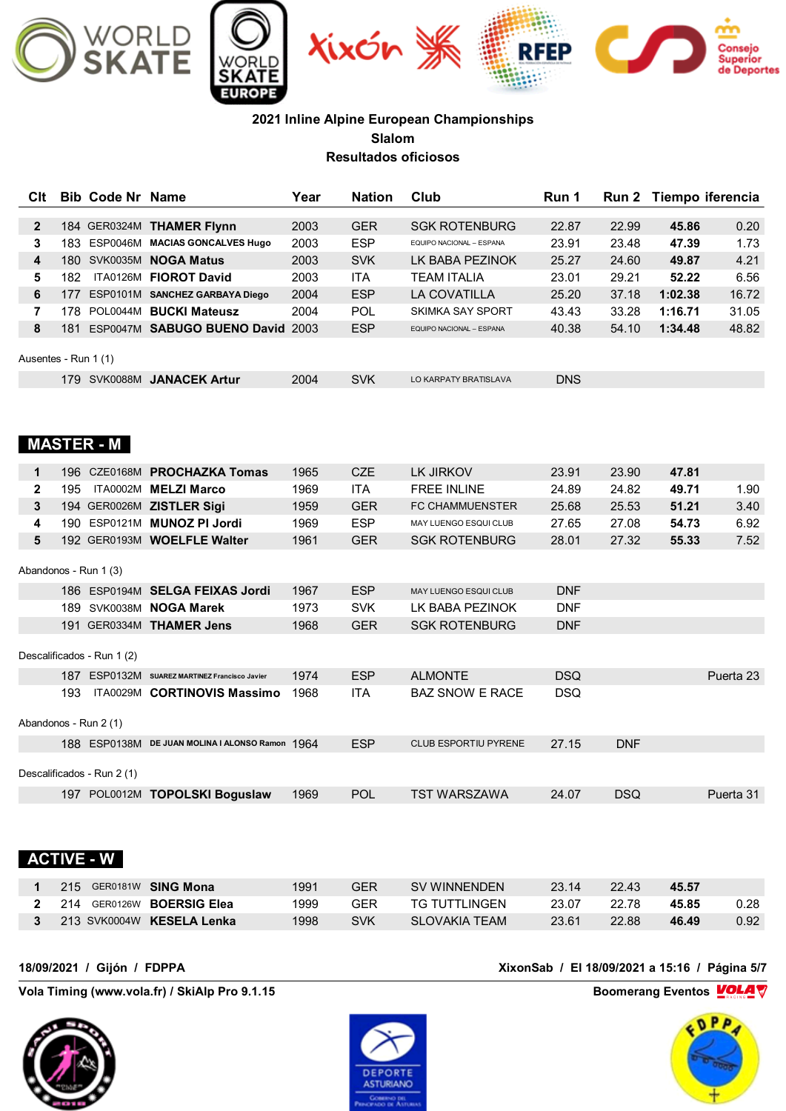

| Clt                  | <b>Bib Code Nr Name</b>    |                                                 | Year | <b>Nation</b> | Club                     | Run 1      |            |         | Run 2 Tiempo iferencia |
|----------------------|----------------------------|-------------------------------------------------|------|---------------|--------------------------|------------|------------|---------|------------------------|
| $\mathbf{2}$         |                            | 184 GER0324M THAMER Flynn                       | 2003 | <b>GER</b>    | <b>SGK ROTENBURG</b>     | 22.87      | 22.99      | 45.86   | 0.20                   |
| 3                    |                            | 183 ESP0046M MACIAS GONCALVES Hugo              | 2003 | <b>ESP</b>    | EQUIPO NACIONAL - ESPANA | 23.91      | 23.48      | 47.39   | 1.73                   |
| 4                    |                            | 180 SVK0035M <b>NOGA Matus</b>                  | 2003 | <b>SVK</b>    | LK BABA PEZINOK          | 25.27      | 24.60      | 49.87   | 4.21                   |
| 5                    |                            | 182 ITA0126M FIOROT David                       | 2003 | <b>ITA</b>    | <b>TEAM ITALIA</b>       | 23.01      | 29.21      | 52.22   | 6.56                   |
| 6                    |                            | 177 ESP0101M SANCHEZ GARBAYA Diego              | 2004 | <b>ESP</b>    | LA COVATILLA             | 25.20      | 37.18      | 1:02.38 | 16.72                  |
| $\overline{7}$       |                            | 178 POL0044M BUCKI Mateusz                      | 2004 | <b>POL</b>    | SKIMKA SAY SPORT         | 43.43      | 33.28      | 1:16.71 | 31.05                  |
| 8                    |                            | 181 ESP0047M SABUGO BUENO David 2003            |      | <b>ESP</b>    | EQUIPO NACIONAL - ESPANA | 40.38      | 54.10      | 1:34.48 | 48.82                  |
| Ausentes - Run 1 (1) |                            |                                                 |      |               |                          |            |            |         |                        |
|                      |                            | 179 SVK0088M JANACEK Artur                      | 2004 | <b>SVK</b>    | LO KARPATY BRATISLAVA    | <b>DNS</b> |            |         |                        |
|                      | <b>MASTER - M</b>          |                                                 |      |               |                          |            |            |         |                        |
| $\mathbf 1$          |                            | 196 CZE0168M PROCHAZKA Tomas                    | 1965 | <b>CZE</b>    | LK JIRKOV                | 23.91      | 23.90      | 47.81   |                        |
| $\mathbf{2}$         |                            | 195 ITA0002M MELZI Marco                        | 1969 | <b>ITA</b>    | <b>FREE INLINE</b>       | 24.89      | 24.82      | 49.71   | 1.90                   |
| 3                    |                            | 194 GER0026M ZISTLER Sigi                       | 1959 | <b>GER</b>    | <b>FC CHAMMUENSTER</b>   | 25.68      | 25.53      | 51.21   | 3.40                   |
| 4                    |                            | 190 ESP0121M MUNOZ PI Jordi                     | 1969 | <b>ESP</b>    | MAY LUENGO ESQUI CLUB    | 27.65      | 27.08      | 54.73   | 6.92                   |
| 5                    |                            | 192 GER0193M WOELFLE Walter                     | 1961 | <b>GER</b>    | <b>SGK ROTENBURG</b>     | 28.01      | 27.32      | 55.33   | 7.52                   |
|                      | Abandonos - Run 1 (3)      |                                                 |      |               |                          |            |            |         |                        |
|                      |                            | 186 ESP0194M SELGA FEIXAS Jordi                 | 1967 | <b>ESP</b>    | MAY LUENGO ESQUI CLUB    | <b>DNF</b> |            |         |                        |
|                      |                            | 189 SVK0038M NOGA Marek                         | 1973 | <b>SVK</b>    | LK BABA PEZINOK          | <b>DNF</b> |            |         |                        |
|                      |                            | 191 GER0334M THAMER Jens                        | 1968 | <b>GER</b>    | <b>SGK ROTENBURG</b>     | <b>DNF</b> |            |         |                        |
|                      | Descalificados - Run 1 (2) |                                                 |      |               |                          |            |            |         |                        |
|                      |                            | 187 ESP0132M SUAREZ MARTINEZ Francisco Javier   | 1974 | <b>ESP</b>    | <b>ALMONTE</b>           | <b>DSQ</b> |            |         | Puerta 23              |
|                      |                            | 193 ITA0029M CORTINOVIS Massimo                 | 1968 | <b>ITA</b>    | <b>BAZ SNOW E RACE</b>   | <b>DSQ</b> |            |         |                        |
|                      | Abandonos - Run 2 (1)      |                                                 |      |               |                          |            |            |         |                        |
|                      |                            | 188 ESP0138M DE JUAN MOLINA I ALONSO Ramon 1964 |      | <b>ESP</b>    | CLUB ESPORTIU PYRENE     | 27.15      | <b>DNF</b> |         |                        |
|                      | Descalificados - Run 2 (1) |                                                 |      |               |                          |            |            |         |                        |
|                      |                            | 197 POL0012M TOPOLSKI Boguslaw                  | 1969 | <b>POL</b>    | <b>TST WARSZAWA</b>      | 24.07      | <b>DSQ</b> |         | Puerta 31              |
|                      |                            |                                                 |      |               |                          |            |            |         |                        |

# **ACTIVE - W**

| 215 GER0181W SING Mona             | 1991 | GER | SV WINNENDEN   | 23.14 | 22.43 | 45.57 |      |
|------------------------------------|------|-----|----------------|-------|-------|-------|------|
| 2 214 GER0126W <b>BOERSIG Elea</b> | 1999 | GFR | TG TUTTI INGEN | 23.07 | 22 78 | 45.85 | 0.28 |
| 213 SVK0004W KESELA Lenka          | 1998 | SVK | SLOVAKIA TEAM  | 23.61 | 22.88 | 46.49 | 0.92 |

**Vola Timing (www.vola.fr) / SkiAlp Pro 9.1.15 Boomerang Eventos VOLA** 





**18/09/2021 / Gijón / FDPPA XixonSab / El 18/09/2021 a 15:16 / Página 5/7**

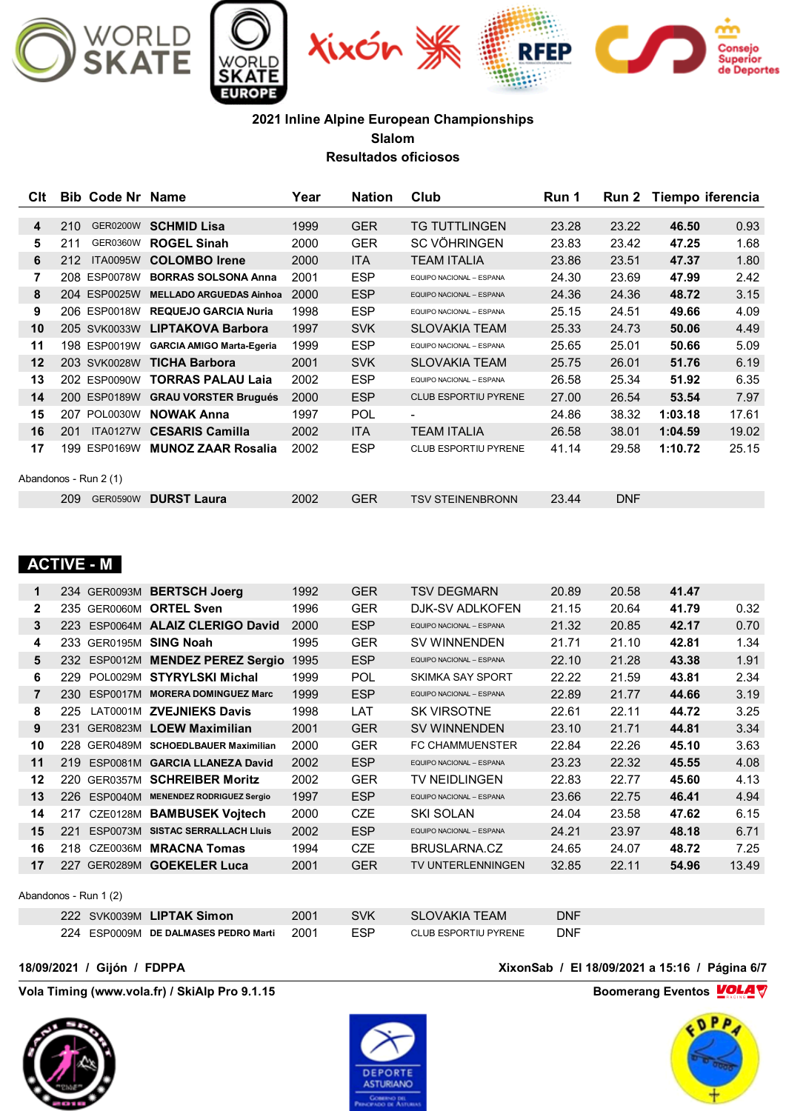

| Clt | Code Nr Name<br>Bib    |                                  | Year | <b>Nation</b> | Club                        | Run 1 |            | Run 2 Tiempo iferencia |       |
|-----|------------------------|----------------------------------|------|---------------|-----------------------------|-------|------------|------------------------|-------|
|     |                        |                                  |      |               |                             |       |            |                        |       |
| 4   | 210<br><b>GER0200W</b> | <b>SCHMID Lisa</b>               | 1999 | <b>GER</b>    | <b>TG TUTTLINGEN</b>        | 23.28 | 23.22      | 46.50                  | 0.93  |
| 5   | 211<br><b>GER0360W</b> | <b>ROGEL Sinah</b>               | 2000 | <b>GER</b>    | SC VÖHRINGEN                | 23.83 | 23.42      | 47.25                  | 1.68  |
| 6   | <b>ITA0095W</b><br>212 | <b>COLOMBO</b> Irene             | 2000 | <b>ITA</b>    | <b>TEAM ITALIA</b>          | 23.86 | 23.51      | 47.37                  | 1.80  |
| 7   | 208 ESP0078W           | <b>BORRAS SOLSONA Anna</b>       | 2001 | <b>ESP</b>    | EQUIPO NACIONAL - ESPANA    | 24.30 | 23.69      | 47.99                  | 2.42  |
| 8   | 204 ESP0025W           | <b>MELLADO ARGUEDAS Ainhoa</b>   | 2000 | <b>ESP</b>    | EQUIPO NACIONAL - ESPANA    | 24.36 | 24.36      | 48.72                  | 3.15  |
| 9   | 206 ESP0018W           | <b>REQUEJO GARCIA Nuria</b>      | 1998 | <b>ESP</b>    | EQUIPO NACIONAL - ESPANA    | 25.15 | 24.51      | 49.66                  | 4.09  |
| 10  | 205 SVK0033W           | <b>LIPTAKOVA Barbora</b>         | 1997 | <b>SVK</b>    | <b>SLOVAKIA TEAM</b>        | 25.33 | 24.73      | 50.06                  | 4.49  |
| 11  | 198 ESP0019W           | <b>GARCIA AMIGO Marta-Egeria</b> | 1999 | <b>ESP</b>    | EQUIPO NACIONAL - ESPANA    | 25.65 | 25.01      | 50.66                  | 5.09  |
| 12  | 203 SVK0028W           | <b>TICHA Barbora</b>             | 2001 | <b>SVK</b>    | <b>SLOVAKIA TEAM</b>        | 25.75 | 26.01      | 51.76                  | 6.19  |
| 13  | 202 ESP0090W           | <b>TORRAS PALAU Laia</b>         | 2002 | <b>ESP</b>    | EQUIPO NACIONAL - ESPANA    | 26.58 | 25.34      | 51.92                  | 6.35  |
| 14  | 200 ESP0189W           | <b>GRAU VORSTER Brugués</b>      | 2000 | <b>ESP</b>    | <b>CLUB ESPORTIU PYRENE</b> | 27.00 | 26.54      | 53.54                  | 7.97  |
| 15  | 207 POL0030W           | <b>NOWAK Anna</b>                | 1997 | <b>POL</b>    | $\blacksquare$              | 24.86 | 38.32      | 1:03.18                | 17.61 |
| 16  | <b>ITA0127W</b><br>201 | <b>CESARIS Camilla</b>           | 2002 | ITA           | <b>TEAM ITALIA</b>          | 26.58 | 38.01      | 1:04.59                | 19.02 |
| 17  | 199 ESP0169W           | <b>MUNOZ ZAAR Rosalia</b>        | 2002 | <b>ESP</b>    | CLUB ESPORTIU PYRENE        | 41.14 | 29.58      | 1:10.72                | 25.15 |
|     |                        |                                  |      |               |                             |       |            |                        |       |
|     | Abandonos - Run 2 (1)  |                                  |      |               |                             |       |            |                        |       |
|     | 209<br><b>GER0590W</b> | <b>DURST Laura</b>               | 2002 | <b>GER</b>    | <b>TSV STEINENBRONN</b>     | 23.44 | <b>DNF</b> |                        |       |

## **ACTIVE - M**

| 1            |                                                        | 234 GER0093M BERTSCH Joerg       | 1992  | <b>GER</b>                  | <b>TSV DEGMARN</b>                                                                                                               | 20.89       | 20.58 | 41.47 |       |
|--------------|--------------------------------------------------------|----------------------------------|-------|-----------------------------|----------------------------------------------------------------------------------------------------------------------------------|-------------|-------|-------|-------|
| $\mathbf{2}$ | 235 GER0060M                                           | <b>ORTEL Sven</b>                | 1996  | GER.                        | DJK-SV ADLKOFEN                                                                                                                  | 21.15       | 20.64 | 41.79 | 0.32  |
| 3            | 223                                                    | ESP0064M ALAIZ CLERIGO David     | 2000  | <b>ESP</b>                  | EQUIPO NACIONAL - ESPANA                                                                                                         | 21.32       | 20.85 | 42.17 | 0.70  |
| 4            | 233 GER0195M                                           | <b>SING Noah</b>                 | 1995  | <b>GER</b>                  | <b>SV WINNENDEN</b>                                                                                                              | 21.71       | 21.10 | 42.81 | 1.34  |
| 5            | 232 ESP0012M                                           | <b>MENDEZ PEREZ Sergio</b>       | 1995  | <b>ESP</b>                  | EQUIPO NACIONAL - ESPANA                                                                                                         | 22.10       | 21.28 | 43.38 | 1.91  |
| 6            | 229                                                    | POL0029M STYRYLSKI Michal        | 1999  | <b>POL</b>                  | <b>SKIMKA SAY SPORT</b>                                                                                                          | 22.22       | 21.59 | 43.81 | 2.34  |
| 7            | 230<br><b>ESP0017M</b>                                 | <b>MORERA DOMINGUEZ Marc</b>     | 1999  | <b>ESP</b>                  | EQUIPO NACIONAL - ESPANA                                                                                                         | 22.89       | 21.77 | 44.66 | 3.19  |
| 8            | 225<br>LAT0001M                                        | <b>ZVEJNIEKS Davis</b>           | 1998  | LAT                         | <b>SK VIRSOTNE</b>                                                                                                               | 22.61       | 22.11 | 44.72 | 3.25  |
| 9            | <b>GER0823M</b><br>231                                 | <b>LOEW Maximilian</b>           | 2001  | <b>GER</b>                  | <b>SV WINNENDEN</b>                                                                                                              | 23.10       | 21.71 | 44.81 | 3.34  |
| 10           | GER0489M<br>228.                                       | <b>SCHOEDLBAUER Maximilian</b>   | 2000  | GER                         | <b>FC CHAMMUENSTER</b>                                                                                                           | 22.84       | 22.26 | 45.10 | 3.63  |
| 11           | 219<br><b>ESP0081M</b>                                 | <b>GARCIA LLANEZA David</b>      | 2002  | <b>ESP</b>                  | EQUIPO NACIONAL - ESPANA                                                                                                         | 23.23       | 22.32 | 45.55 | 4.08  |
| 12           | 220<br><b>GER0357M</b>                                 | <b>SCHREIBER Moritz</b>          | 2002  | GER                         | TV NEIDLINGEN                                                                                                                    | 22.83       | 22.77 | 45.60 | 4.13  |
| 13           | 226<br><b>ESP0040M</b>                                 | <b>MENENDEZ RODRIGUEZ Sergio</b> | 1997  | <b>ESP</b>                  | EQUIPO NACIONAL - ESPANA                                                                                                         | 23.66       | 22.75 | 46.41 | 4.94  |
| 14           | CZE0128M<br>217                                        | <b>BAMBUSEK Voitech</b>          | 2000  | <b>CZE</b>                  | SKI SOLAN                                                                                                                        | 24.04       | 23.58 | 47.62 | 6.15  |
| 15           | 221<br><b>ESP0073M</b>                                 | <b>SISTAC SERRALLACH LIUIS</b>   | 2002  | <b>ESP</b>                  | EQUIPO NACIONAL - ESPANA                                                                                                         | 24.21       | 23.97 | 48.18 | 6.71  |
| 16           | CZE0036M<br>218                                        | <b>MRACNA Tomas</b>              | 1994  | <b>CZE</b>                  | BRUSLARNA.CZ                                                                                                                     | 24.65       | 24.07 | 48.72 | 7.25  |
| 17           | 227 GER0289M                                           | <b>GOEKELER Luca</b>             | 2001  | <b>GER</b>                  | TV UNTERLENNINGEN                                                                                                                | 32.85       | 22.11 | 54.96 | 13.49 |
|              |                                                        |                                  |       |                             |                                                                                                                                  |             |       |       |       |
|              | Abandonos - Run 1 (2)                                  |                                  |       |                             |                                                                                                                                  |             |       |       |       |
|              | $0.000 \times 0.0000001$ $\blacksquare$ $\blacksquare$ |                                  | 0.004 | $\bigcap \{1, 2, \ldots \}$ | $C1 C1 (111111 T1 T1 1111 T1 T1 1111 T1 T1 T1 1111 T1 T1 1111 T1 1111 T1 1111 T1 1111 T1 1111 T1 1111 T1 1111 T1 1111 T1 1111 T$ | <b>DAIP</b> |       |       |       |

 SVK0039M **LIPTAK Simon** 2001 SVK SLOVAKIA TEAM DNF ESP0009M **DE DALMASES PEDRO Marti** 2001 ESP CLUB ESPORTIU PYRENE DNF

**Vola Timing (www.vola.fr) / SkiAlp Pro 9.1.15 Boomerang Eventos VOLA** 





**18/09/2021 / Gijón / FDPPA XixonSab / El 18/09/2021 a 15:16 / Página 6/7**